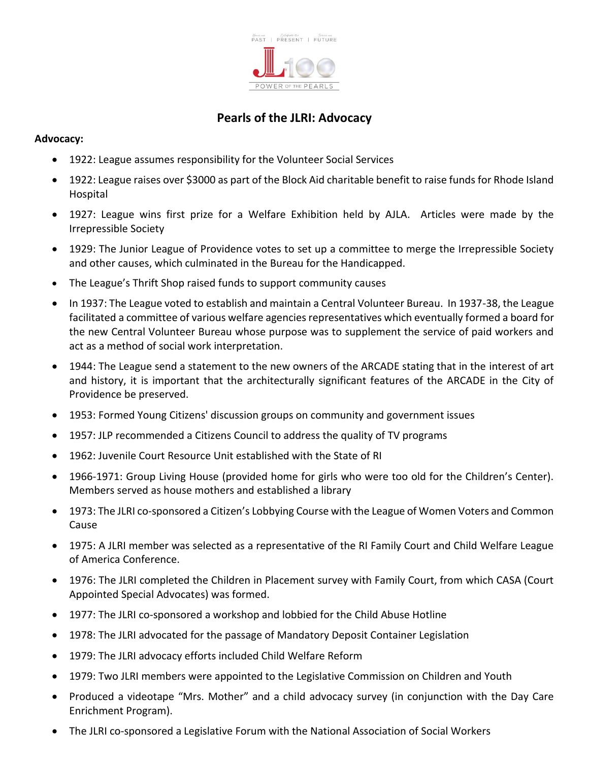

## **Pearls of the JLRI: Advocacy**

## **Advocacy:**

- 1922: League assumes responsibility for the Volunteer Social Services
- 1922: League raises over \$3000 as part of the Block Aid charitable benefit to raise funds for Rhode Island Hospital
- 1927: League wins first prize for a Welfare Exhibition held by AJLA. Articles were made by the Irrepressible Society
- 1929: The Junior League of Providence votes to set up a committee to merge the Irrepressible Society and other causes, which culminated in the Bureau for the Handicapped.
- The League's Thrift Shop raised funds to support community causes
- In 1937: The League voted to establish and maintain a Central Volunteer Bureau. In 1937-38, the League facilitated a committee of various welfare agencies representatives which eventually formed a board for the new Central Volunteer Bureau whose purpose was to supplement the service of paid workers and act as a method of social work interpretation.
- 1944: The League send a statement to the new owners of the ARCADE stating that in the interest of art and history, it is important that the architecturally significant features of the ARCADE in the City of Providence be preserved.
- 1953: Formed Young Citizens' discussion groups on community and government issues
- 1957: JLP recommended a Citizens Council to address the quality of TV programs
- 1962: Juvenile Court Resource Unit established with the State of RI
- 1966-1971: Group Living House (provided home for girls who were too old for the Children's Center). Members served as house mothers and established a library
- 1973: The JLRI co-sponsored a Citizen's Lobbying Course with the League of Women Voters and Common Cause
- 1975: A JLRI member was selected as a representative of the RI Family Court and Child Welfare League of America Conference.
- 1976: The JLRI completed the Children in Placement survey with Family Court, from which CASA (Court Appointed Special Advocates) was formed.
- 1977: The JLRI co-sponsored a workshop and lobbied for the Child Abuse Hotline
- 1978: The JLRI advocated for the passage of Mandatory Deposit Container Legislation
- 1979: The JLRI advocacy efforts included Child Welfare Reform
- 1979: Two JLRI members were appointed to the Legislative Commission on Children and Youth
- Produced a videotape "Mrs. Mother" and a child advocacy survey (in conjunction with the Day Care Enrichment Program).
- The JLRI co-sponsored a Legislative Forum with the National Association of Social Workers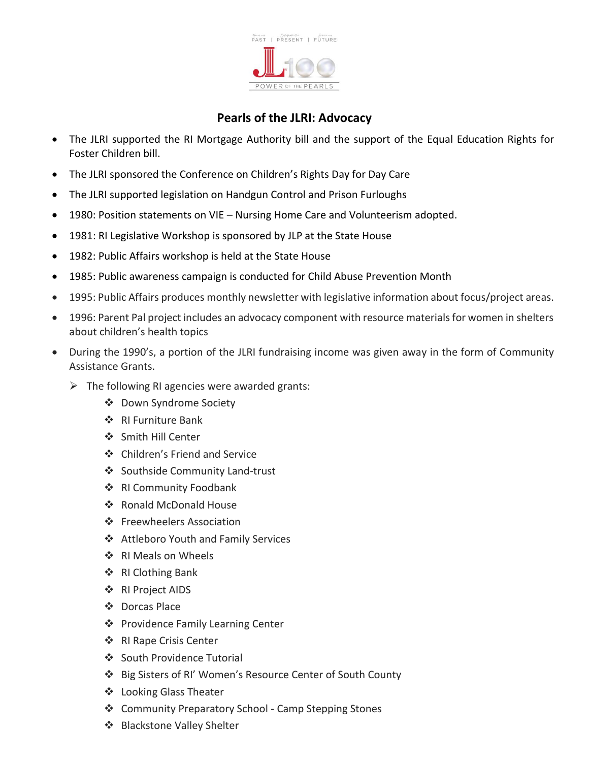

## **Pearls of the JLRI: Advocacy**

- The JLRI supported the RI Mortgage Authority bill and the support of the Equal Education Rights for Foster Children bill.
- The JLRI sponsored the Conference on Children's Rights Day for Day Care
- The JLRI supported legislation on Handgun Control and Prison Furloughs
- 1980: Position statements on VIE Nursing Home Care and Volunteerism adopted.
- 1981: RI Legislative Workshop is sponsored by JLP at the State House
- 1982: Public Affairs workshop is held at the State House
- 1985: Public awareness campaign is conducted for Child Abuse Prevention Month
- 1995: Public Affairs produces monthly newsletter with legislative information about focus/project areas.
- 1996: Parent Pal project includes an advocacy component with resource materials for women in shelters about children's health topics
- During the 1990's, a portion of the JLRI fundraising income was given away in the form of Community Assistance Grants.
	- $\triangleright$  The following RI agencies were awarded grants:
		- ❖ Down Syndrome Society
		- ❖ RI Furniture Bank
		- ❖ Smith Hill Center
		- ❖ Children's Friend and Service
		- ❖ Southside Community Land-trust
		- ❖ RI Community Foodbank
		- ❖ Ronald McDonald House
		- ❖ Freewheelers Association
		- ❖ Attleboro Youth and Family Services
		- ❖ RI Meals on Wheels
		- ❖ RI Clothing Bank
		- ❖ RI Project AIDS
		- ❖ Dorcas Place
		- ❖ Providence Family Learning Center
		- ❖ RI Rape Crisis Center
		- ❖ South Providence Tutorial
		- ❖ Big Sisters of RI' Women's Resource Center of South County
		- ❖ Looking Glass Theater
		- ❖ Community Preparatory School Camp Stepping Stones
		- ❖ Blackstone Valley Shelter